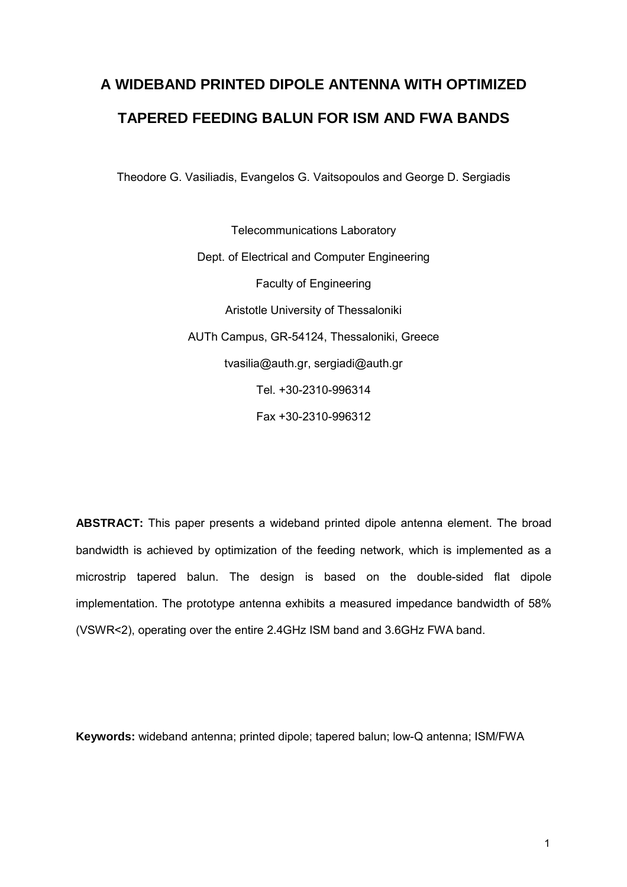# **A WIDEBAND PRINTED DIPOLE ANTENNA WITH OPTIMIZED TAPERED FEEDING BALUN FOR ISM AND FWA BANDS**

Theodore G. Vasiliadis, Evangelos G. Vaitsopoulos and George D. Sergiadis

Telecommunications Laboratory Dept. of Electrical and Computer Engineering Faculty of Engineering Aristotle University of Thessaloniki AUTh Campus, GR-54124, Thessaloniki, Greece tvasilia@auth.gr, sergiadi@auth.gr Tel. +30-2310-996314 Fax +30-2310-996312

**ABSTRACT:** This paper presents a wideband printed dipole antenna element. The broad bandwidth is achieved by optimization of the feeding network, which is implemented as a microstrip tapered balun. The design is based on the double-sided flat dipole implementation. The prototype antenna exhibits a measured impedance bandwidth of 58% (VSWR<2), operating over the entire 2.4GHz ISM band and 3.6GHz FWA band.

**Keywords:** wideband antenna; printed dipole; tapered balun; low-Q antenna; ISM/FWA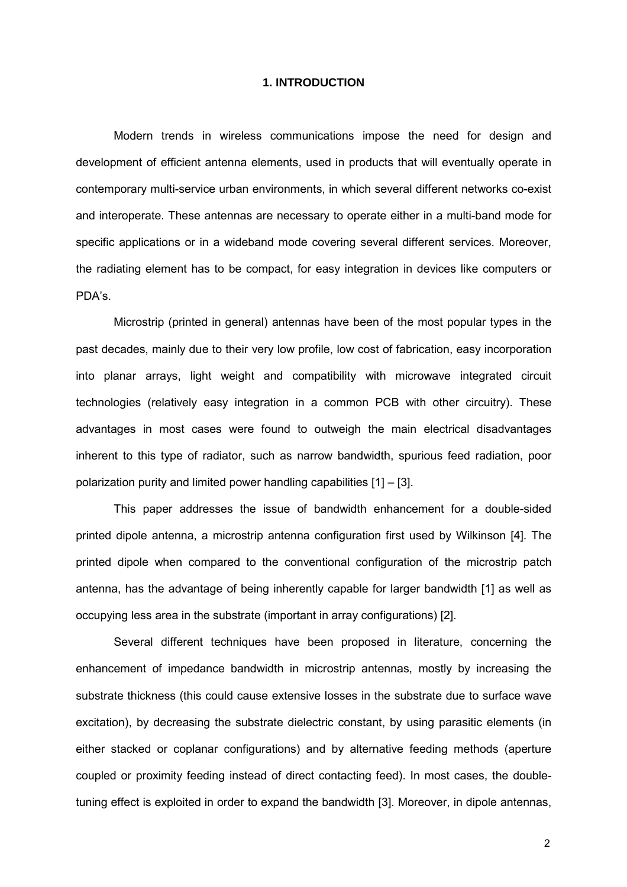### **1. INTRODUCTION**

Modern trends in wireless communications impose the need for design and development of efficient antenna elements, used in products that will eventually operate in contemporary multi-service urban environments, in which several different networks co-exist and interoperate. These antennas are necessary to operate either in a multi-band mode for specific applications or in a wideband mode covering several different services. Moreover, the radiating element has to be compact, for easy integration in devices like computers or PDA's.

Microstrip (printed in general) antennas have been of the most popular types in the past decades, mainly due to their very low profile, low cost of fabrication, easy incorporation into planar arrays, light weight and compatibility with microwave integrated circuit technologies (relatively easy integration in a common PCB with other circuitry). These advantages in most cases were found to outweigh the main electrical disadvantages inherent to this type of radiator, such as narrow bandwidth, spurious feed radiation, poor polarization purity and limited power handling capabilities [1] – [3].

This paper addresses the issue of bandwidth enhancement for a double-sided printed dipole antenna, a microstrip antenna configuration first used by Wilkinson [4]. The printed dipole when compared to the conventional configuration of the microstrip patch antenna, has the advantage of being inherently capable for larger bandwidth [1] as well as occupying less area in the substrate (important in array configurations) [2].

Several different techniques have been proposed in literature, concerning the enhancement of impedance bandwidth in microstrip antennas, mostly by increasing the substrate thickness (this could cause extensive losses in the substrate due to surface wave excitation), by decreasing the substrate dielectric constant, by using parasitic elements (in either stacked or coplanar configurations) and by alternative feeding methods (aperture coupled or proximity feeding instead of direct contacting feed). In most cases, the doubletuning effect is exploited in order to expand the bandwidth [3]. Moreover, in dipole antennas,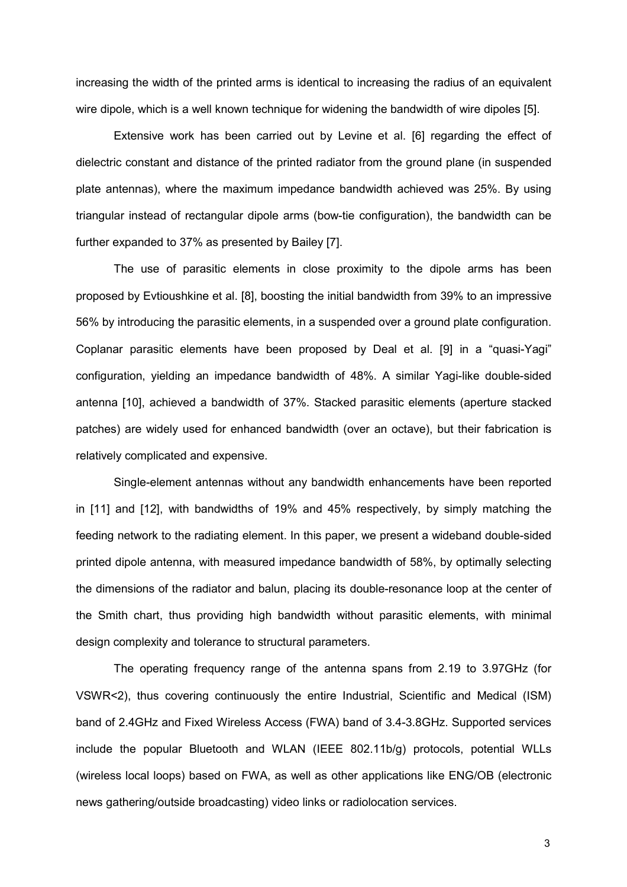increasing the width of the printed arms is identical to increasing the radius of an equivalent wire dipole, which is a well known technique for widening the bandwidth of wire dipoles [5].

Extensive work has been carried out by Levine et al. [6] regarding the effect of dielectric constant and distance of the printed radiator from the ground plane (in suspended plate antennas), where the maximum impedance bandwidth achieved was 25%. By using triangular instead of rectangular dipole arms (bow-tie configuration), the bandwidth can be further expanded to 37% as presented by Bailey [7].

The use of parasitic elements in close proximity to the dipole arms has been proposed by Evtioushkine et al. [8], boosting the initial bandwidth from 39% to an impressive 56% by introducing the parasitic elements, in a suspended over a ground plate configuration. Coplanar parasitic elements have been proposed by Deal et al. [9] in a "quasi-Yagi" configuration, yielding an impedance bandwidth of 48%. A similar Yagi-like double-sided antenna [10], achieved a bandwidth of 37%. Stacked parasitic elements (aperture stacked patches) are widely used for enhanced bandwidth (over an octave), but their fabrication is relatively complicated and expensive.

Single-element antennas without any bandwidth enhancements have been reported in [11] and [12], with bandwidths of 19% and 45% respectively, by simply matching the feeding network to the radiating element. In this paper, we present a wideband double-sided printed dipole antenna, with measured impedance bandwidth of 58%, by optimally selecting the dimensions of the radiator and balun, placing its double-resonance loop at the center of the Smith chart, thus providing high bandwidth without parasitic elements, with minimal design complexity and tolerance to structural parameters.

The operating frequency range of the antenna spans from 2.19 to 3.97GHz (for VSWR<2), thus covering continuously the entire Industrial, Scientific and Medical (ISM) band of 2.4GHz and Fixed Wireless Access (FWA) band of 3.4-3.8GHz. Supported services include the popular Bluetooth and WLAN (IEEE 802.11b/g) protocols, potential WLLs (wireless local loops) based on FWA, as well as other applications like ENG/OB (electronic news gathering/outside broadcasting) video links or radiolocation services.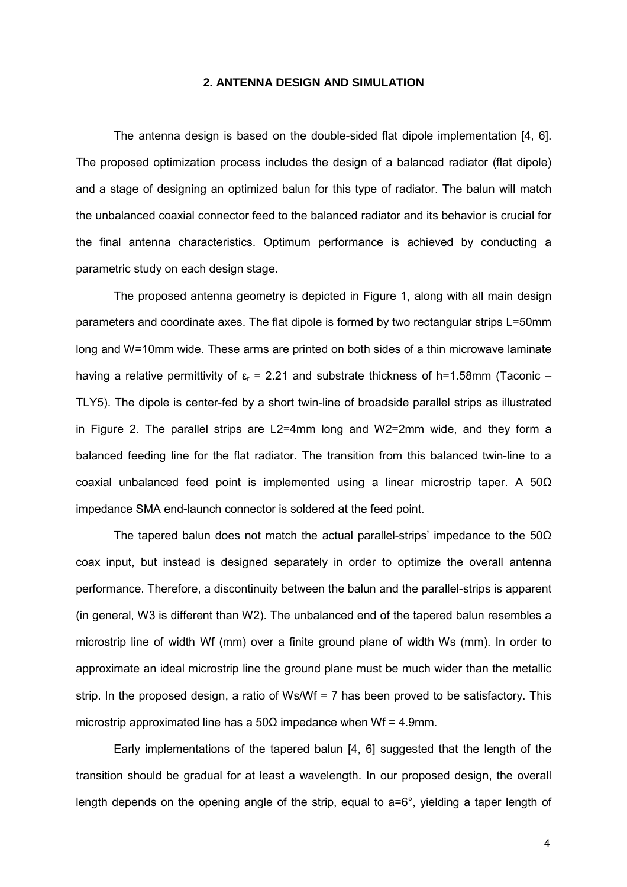#### **2. ANTENNA DESIGN AND SIMULATION**

The antenna design is based on the double-sided flat dipole implementation [4, 6]. The proposed optimization process includes the design of a balanced radiator (flat dipole) and a stage of designing an optimized balun for this type of radiator. The balun will match the unbalanced coaxial connector feed to the balanced radiator and its behavior is crucial for the final antenna characteristics. Optimum performance is achieved by conducting a parametric study on each design stage.

The proposed antenna geometry is depicted in Figure 1, along with all main design parameters and coordinate axes. The flat dipole is formed by two rectangular strips L=50mm long and W=10mm wide. These arms are printed on both sides of a thin microwave laminate having a relative permittivity of  $\varepsilon_r = 2.21$  and substrate thickness of h=1.58mm (Taconic – TLY5). The dipole is center-fed by a short twin-line of broadside parallel strips as illustrated in Figure 2. The parallel strips are L2=4mm long and W2=2mm wide, and they form a balanced feeding line for the flat radiator. The transition from this balanced twin-line to a coaxial unbalanced feed point is implemented using a linear microstrip taper. A 50Ω impedance SMA end-launch connector is soldered at the feed point.

The tapered balun does not match the actual parallel-strips' impedance to the  $50\Omega$ coax input, but instead is designed separately in order to optimize the overall antenna performance. Therefore, a discontinuity between the balun and the parallel-strips is apparent (in general, W3 is different than W2). The unbalanced end of the tapered balun resembles a microstrip line of width Wf (mm) over a finite ground plane of width Ws (mm). In order to approximate an ideal microstrip line the ground plane must be much wider than the metallic strip. In the proposed design, a ratio of Ws/Wf = 7 has been proved to be satisfactory. This microstrip approximated line has a  $50Ω$  impedance when Wf = 4.9mm.

Early implementations of the tapered balun [4, 6] suggested that the length of the transition should be gradual for at least a wavelength. In our proposed design, the overall length depends on the opening angle of the strip, equal to a=6°, yielding a taper length of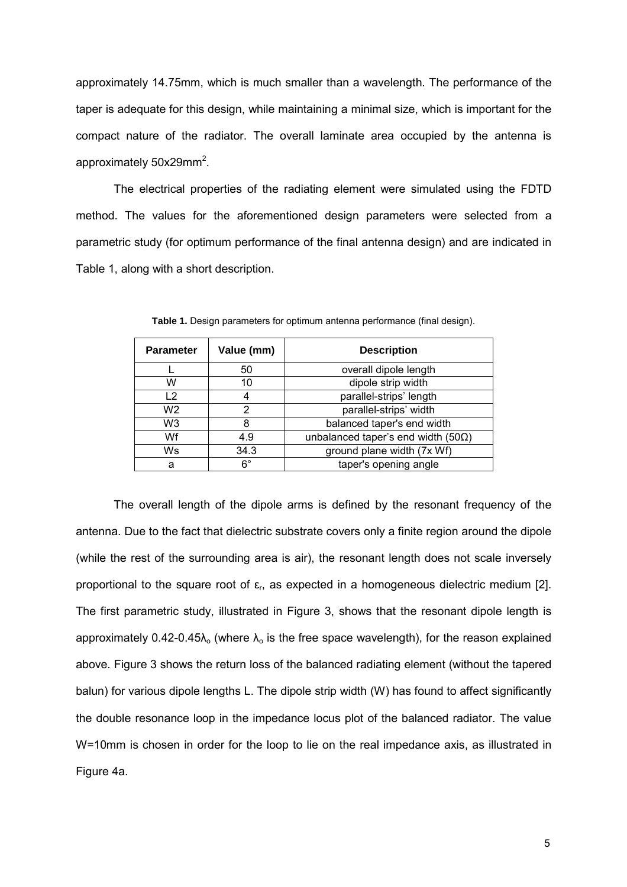approximately 14.75mm, which is much smaller than a wavelength. The performance of the taper is adequate for this design, while maintaining a minimal size, which is important for the compact nature of the radiator. The overall laminate area occupied by the antenna is approximately 50x29mm<sup>2</sup>.

The electrical properties of the radiating element were simulated using the FDTD method. The values for the aforementioned design parameters were selected from a parametric study (for optimum performance of the final antenna design) and are indicated in Table 1, along with a short description.

| <b>Parameter</b> | Value (mm)  | <b>Description</b>                          |
|------------------|-------------|---------------------------------------------|
|                  | 50          | overall dipole length                       |
| W                | 10          | dipole strip width                          |
| 12               |             | parallel-strips' length                     |
| W2               | 2           | parallel-strips' width                      |
| W3               |             | balanced taper's end width                  |
| Wf               | 4.9         | unbalanced taper's end width (50 $\Omega$ ) |
| Ws               | 34.3        | ground plane width (7x Wf)                  |
| a                | $6^{\circ}$ | taper's opening angle                       |

**Table 1.** Design parameters for optimum antenna performance (final design).

The overall length of the dipole arms is defined by the resonant frequency of the antenna. Due to the fact that dielectric substrate covers only a finite region around the dipole (while the rest of the surrounding area is air), the resonant length does not scale inversely proportional to the square root of  $\varepsilon_r$ , as expected in a homogeneous dielectric medium [2]. The first parametric study, illustrated in Figure 3, shows that the resonant dipole length is approximately 0.42-0.45 $\lambda_0$  (where  $\lambda_0$  is the free space wavelength), for the reason explained above. Figure 3 shows the return loss of the balanced radiating element (without the tapered balun) for various dipole lengths L. The dipole strip width (W) has found to affect significantly the double resonance loop in the impedance locus plot of the balanced radiator. The value W=10mm is chosen in order for the loop to lie on the real impedance axis, as illustrated in Figure 4a.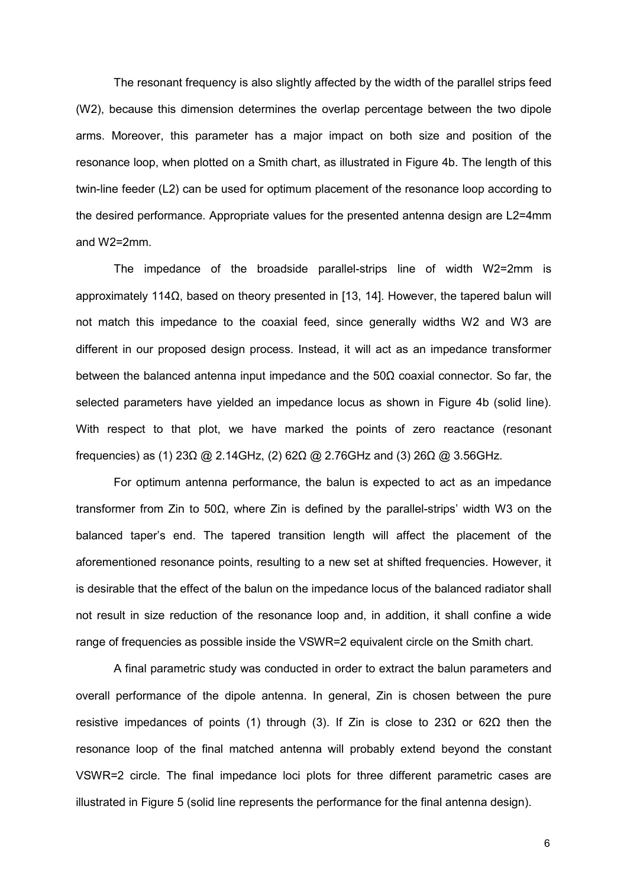The resonant frequency is also slightly affected by the width of the parallel strips feed (W2), because this dimension determines the overlap percentage between the two dipole arms. Moreover, this parameter has a major impact on both size and position of the resonance loop, when plotted on a Smith chart, as illustrated in Figure 4b. The length of this twin-line feeder (L2) can be used for optimum placement of the resonance loop according to the desired performance. Appropriate values for the presented antenna design are L2=4mm and W2=2mm.

The impedance of the broadside parallel-strips line of width W2=2mm is approximately 114Ω, based on theory presented in [13, 14]. However, the tapered balun will not match this impedance to the coaxial feed, since generally widths W2 and W3 are different in our proposed design process. Instead, it will act as an impedance transformer between the balanced antenna input impedance and the  $50\Omega$  coaxial connector. So far, the selected parameters have yielded an impedance locus as shown in Figure 4b (solid line). With respect to that plot, we have marked the points of zero reactance (resonant frequencies) as (1) 23 $\Omega$  @ 2.14GHz, (2) 62 $\Omega$  @ 2.76GHz and (3) 26 $\Omega$  @ 3.56GHz.

For optimum antenna performance, the balun is expected to act as an impedance transformer from Zin to 50Ω, where Zin is defined by the parallel-strips' width W3 on the balanced taper's end. The tapered transition length will affect the placement of the aforementioned resonance points, resulting to a new set at shifted frequencies. However, it is desirable that the effect of the balun on the impedance locus of the balanced radiator shall not result in size reduction of the resonance loop and, in addition, it shall confine a wide range of frequencies as possible inside the VSWR=2 equivalent circle on the Smith chart.

A final parametric study was conducted in order to extract the balun parameters and overall performance of the dipole antenna. In general, Zin is chosen between the pure resistive impedances of points (1) through (3). If Zin is close to 23Ω or 62Ω then the resonance loop of the final matched antenna will probably extend beyond the constant VSWR=2 circle. The final impedance loci plots for three different parametric cases are illustrated in Figure 5 (solid line represents the performance for the final antenna design).

 $\sim$  6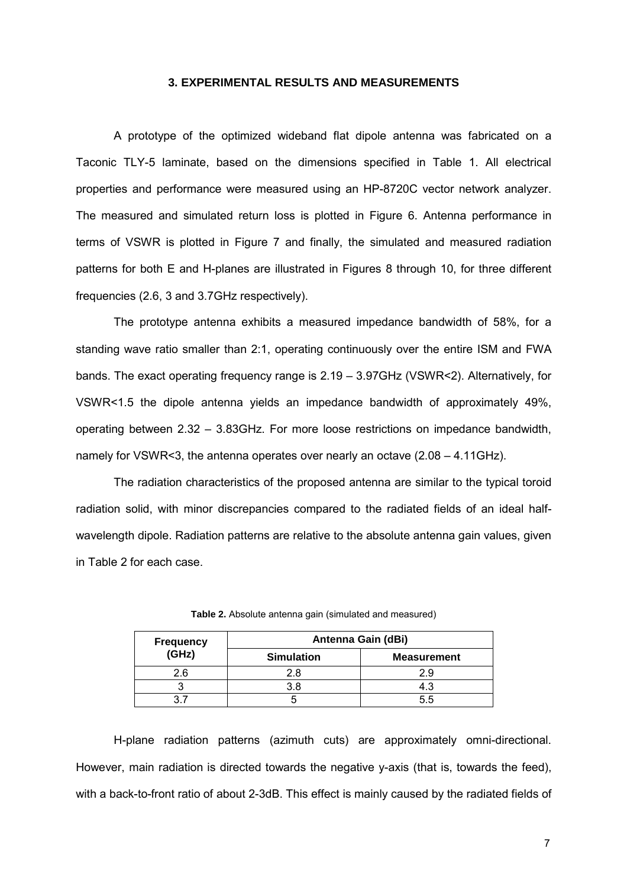## **3. EXPERIMENTAL RESULTS AND MEASUREMENTS**

A prototype of the optimized wideband flat dipole antenna was fabricated on a Taconic TLY-5 laminate, based on the dimensions specified in Table 1. All electrical properties and performance were measured using an HP-8720C vector network analyzer. The measured and simulated return loss is plotted in Figure 6. Antenna performance in terms of VSWR is plotted in Figure 7 and finally, the simulated and measured radiation patterns for both E and H-planes are illustrated in Figures 8 through 10, for three different frequencies (2.6, 3 and 3.7GHz respectively).

The prototype antenna exhibits a measured impedance bandwidth of 58%, for a standing wave ratio smaller than 2:1, operating continuously over the entire ISM and FWA bands. The exact operating frequency range is 2.19 – 3.97GHz (VSWR<2). Alternatively, for VSWR<1.5 the dipole antenna yields an impedance bandwidth of approximately 49%, operating between 2.32 – 3.83GHz. For more loose restrictions on impedance bandwidth, namely for VSWR<3, the antenna operates over nearly an octave  $(2.08 - 4.11 \text{GHz})$ .

The radiation characteristics of the proposed antenna are similar to the typical toroid radiation solid, with minor discrepancies compared to the radiated fields of an ideal halfwavelength dipole. Radiation patterns are relative to the absolute antenna gain values, given in Table 2 for each case.

| <b>Frequency</b> | Antenna Gain (dBi) |                    |  |
|------------------|--------------------|--------------------|--|
| $(\dot{G}Hz)$    | <b>Simulation</b>  | <b>Measurement</b> |  |
| 2.6              | 2.8                | 2.9                |  |
|                  | 3 R                | 4.3                |  |
|                  |                    | 55                 |  |

**Table 2.** Absolute antenna gain (simulated and measured)

H-plane radiation patterns (azimuth cuts) are approximately omni-directional. However, main radiation is directed towards the negative y-axis (that is, towards the feed), with a back-to-front ratio of about 2-3dB. This effect is mainly caused by the radiated fields of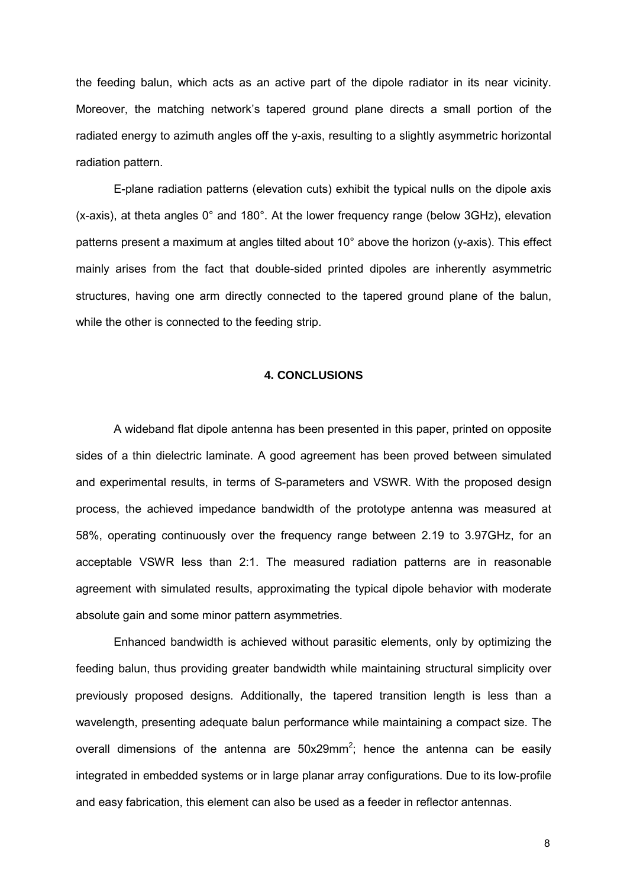the feeding balun, which acts as an active part of the dipole radiator in its near vicinity. Moreover, the matching network's tapered ground plane directs a small portion of the radiated energy to azimuth angles off the y-axis, resulting to a slightly asymmetric horizontal radiation pattern.

E-plane radiation patterns (elevation cuts) exhibit the typical nulls on the dipole axis (x-axis), at theta angles 0° and 180°. At the lower frequency range (below 3GHz), elevation patterns present a maximum at angles tilted about 10° above the horizon (y-axis). This effect mainly arises from the fact that double-sided printed dipoles are inherently asymmetric structures, having one arm directly connected to the tapered ground plane of the balun, while the other is connected to the feeding strip.

### **4. CONCLUSIONS**

A wideband flat dipole antenna has been presented in this paper, printed on opposite sides of a thin dielectric laminate. A good agreement has been proved between simulated and experimental results, in terms of S-parameters and VSWR. With the proposed design process, the achieved impedance bandwidth of the prototype antenna was measured at 58%, operating continuously over the frequency range between 2.19 to 3.97GHz, for an acceptable VSWR less than 2:1. The measured radiation patterns are in reasonable agreement with simulated results, approximating the typical dipole behavior with moderate absolute gain and some minor pattern asymmetries.

Enhanced bandwidth is achieved without parasitic elements, only by optimizing the feeding balun, thus providing greater bandwidth while maintaining structural simplicity over previously proposed designs. Additionally, the tapered transition length is less than a wavelength, presenting adequate balun performance while maintaining a compact size. The overall dimensions of the antenna are  $50x29mm^2$ ; hence the antenna can be easily integrated in embedded systems or in large planar array configurations. Due to its low-profile and easy fabrication, this element can also be used as a feeder in reflector antennas.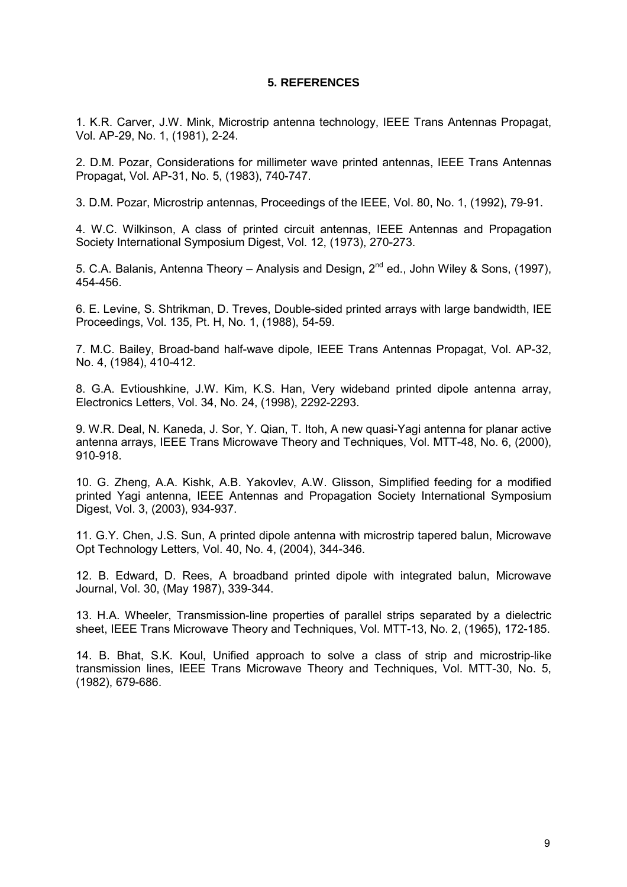## **5. REFERENCES**

1. K.R. Carver, J.W. Mink, Microstrip antenna technology, IEEE Trans Antennas Propagat, Vol. AP-29, No. 1, (1981), 2-24.

2. D.M. Pozar, Considerations for millimeter wave printed antennas, IEEE Trans Antennas Propagat, Vol. AP-31, No. 5, (1983), 740-747.

3. D.M. Pozar, Microstrip antennas, Proceedings of the IEEE, Vol. 80, No. 1, (1992), 79-91.

4. W.C. Wilkinson, A class of printed circuit antennas, IEEE Antennas and Propagation Society International Symposium Digest, Vol. 12, (1973), 270-273.

5. C.A. Balanis, Antenna Theory – Analysis and Design,  $2^{nd}$  ed., John Wiley & Sons, (1997), 454-456.

6. E. Levine, S. Shtrikman, D. Treves, Double-sided printed arrays with large bandwidth, IEE Proceedings, Vol. 135, Pt. H, No. 1, (1988), 54-59.

7. M.C. Bailey, Broad-band half-wave dipole, IEEE Trans Antennas Propagat, Vol. AP-32, No. 4, (1984), 410-412.

8. G.A. Evtioushkine, J.W. Kim, K.S. Han, Very wideband printed dipole antenna array, Electronics Letters, Vol. 34, No. 24, (1998), 2292-2293.

9. W.R. Deal, N. Kaneda, J. Sor, Y. Qian, T. Itoh, A new quasi-Yagi antenna for planar active antenna arrays, IEEE Trans Microwave Theory and Techniques, Vol. MTT-48, No. 6, (2000), 910-918.

10. G. Zheng, A.A. Kishk, A.B. Yakovlev, A.W. Glisson, Simplified feeding for a modified printed Yagi antenna, IEEE Antennas and Propagation Society International Symposium Digest, Vol. 3, (2003), 934-937.

11. G.Y. Chen, J.S. Sun, A printed dipole antenna with microstrip tapered balun, Microwave Opt Technology Letters, Vol. 40, No. 4, (2004), 344-346.

12. B. Edward, D. Rees, A broadband printed dipole with integrated balun, Microwave Journal, Vol. 30, (May 1987), 339-344.

13. H.A. Wheeler, Transmission-line properties of parallel strips separated by a dielectric sheet, IEEE Trans Microwave Theory and Techniques, Vol. MTT-13, No. 2, (1965), 172-185.

14. B. Bhat, S.K. Koul, Unified approach to solve a class of strip and microstrip-like transmission lines, IEEE Trans Microwave Theory and Techniques, Vol. MTT-30, No. 5, (1982), 679-686.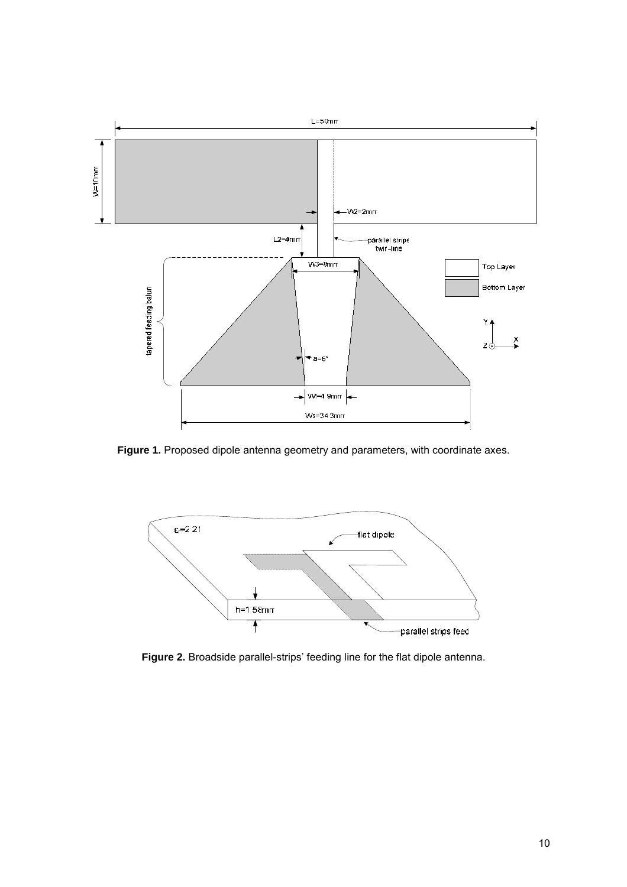

**Figure 1.** Proposed dipole antenna geometry and parameters, with coordinate axes.



**Figure 2.** Broadside parallel-strips' feeding line for the flat dipole antenna.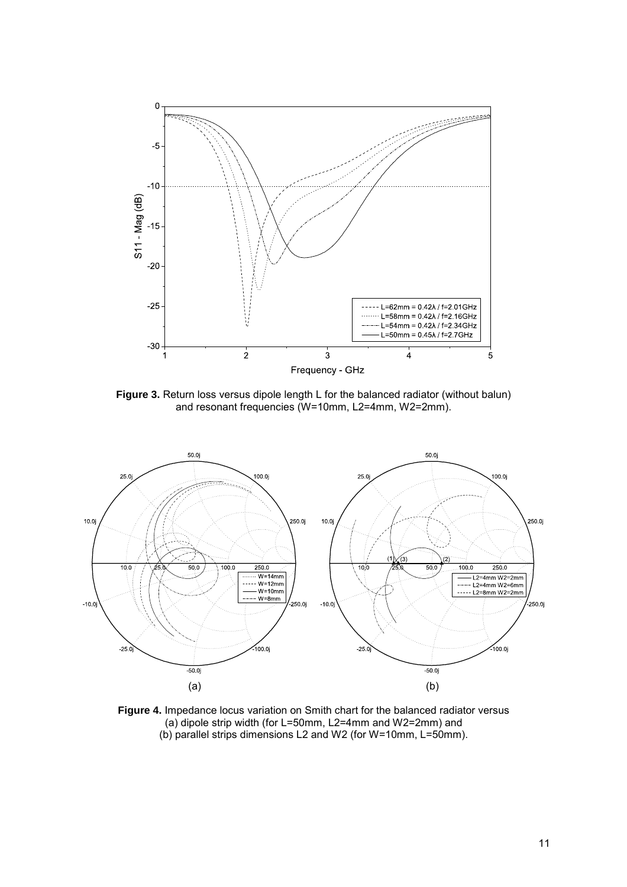

Figure 3. Return loss versus dipole length L for the balanced radiator (without balun) and resonant frequencies (W=10mm, L2=4mm, W2=2mm).



**Figure 4.** Impedance locus variation on Smith chart for the balanced radiator versus (a) dipole strip width (for L=50mm, L2=4mm and W2=2mm) and (b) parallel strips dimensions L2 and W2 (for W=10mm, L=50mm).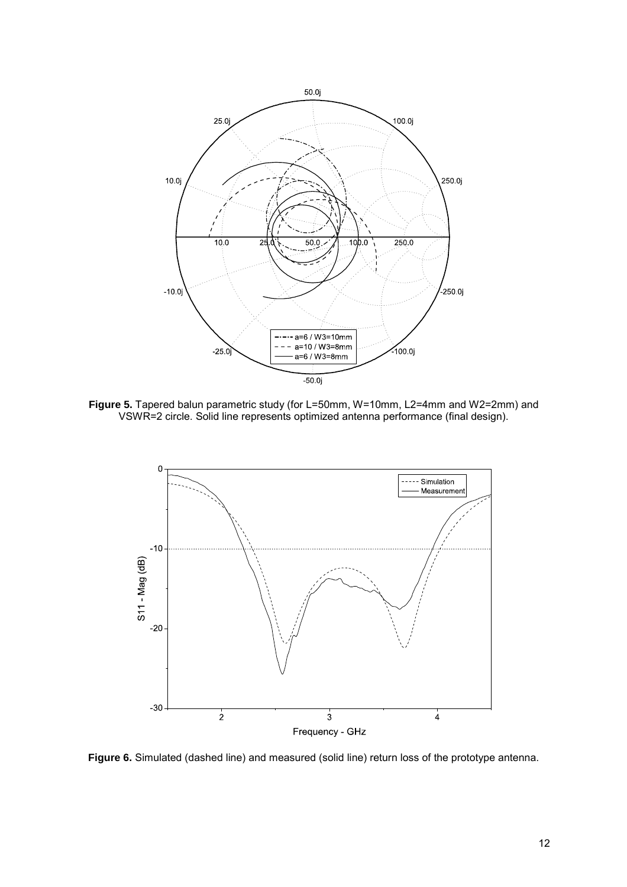

**Figure 5.** Tapered balun parametric study (for L=50mm, W=10mm, L2=4mm and W2=2mm) and VSWR=2 circle. Solid line represents optimized antenna performance (final design).



**Figure 6.** Simulated (dashed line) and measured (solid line) return loss of the prototype antenna.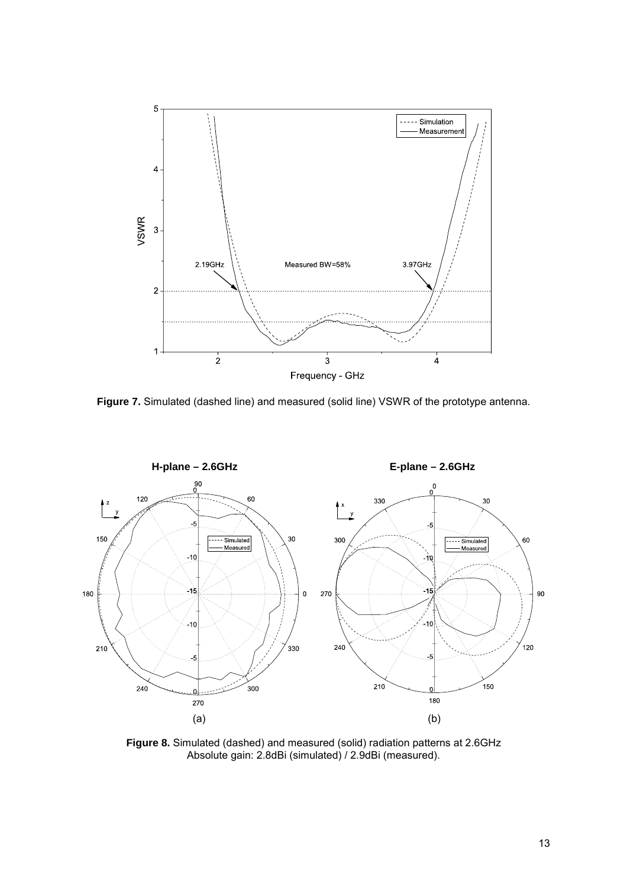

**Figure 7.** Simulated (dashed line) and measured (solid line) VSWR of the prototype antenna.



**Figure 8.** Simulated (dashed) and measured (solid) radiation patterns at 2.6GHz Absolute gain: 2.8dBi (simulated) / 2.9dBi (measured).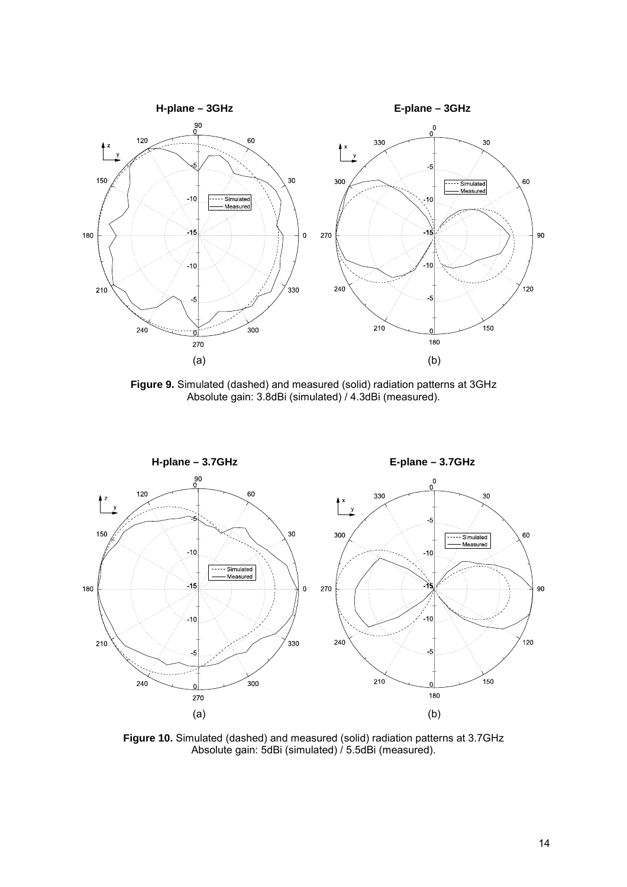

**Figure 9.** Simulated (dashed) and measured (solid) radiation patterns at 3GHz Absolute gain: 3.8dBi (simulated) / 4.3dBi (measured).



**Figure 10.** Simulated (dashed) and measured (solid) radiation patterns at 3.7GHz Absolute gain: 5dBi (simulated) / 5.5dBi (measured).